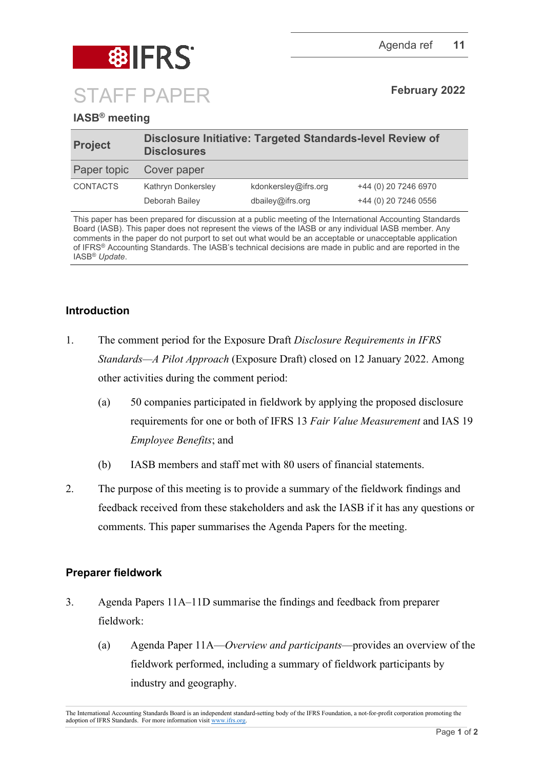

# **IASB® meeting**

| <b>Project</b>  | Disclosure Initiative: Targeted Standards-level Review of<br><b>Disclosures</b> |                                          |                                              |
|-----------------|---------------------------------------------------------------------------------|------------------------------------------|----------------------------------------------|
| Paper topic     | Cover paper                                                                     |                                          |                                              |
| <b>CONTACTS</b> | Kathryn Donkersley<br>Deborah Bailey                                            | kdonkersley@ifrs.org<br>dbailev@ifrs.org | +44 (0) 20 7246 6970<br>+44 (0) 20 7246 0556 |

This paper has been prepared for discussion at a public meeting of the International Accounting Standards Board (IASB). This paper does not represent the views of the IASB or any individual IASB member. Any comments in the paper do not purport to set out what would be an acceptable or unacceptable application of IFRS® Accounting Standards. The IASB's technical decisions are made in public and are reported in the IASB® *Update*.

## **Introduction**

- 1. The comment period for the Exposure Draft *Disclosure Requirements in IFRS Standards—A Pilot Approach* (Exposure Draft) closed on 12 January 2022. Among other activities during the comment period:
	- (a) 50 companies participated in fieldwork by applying the proposed disclosure requirements for one or both of IFRS 13 *Fair Value Measurement* and IAS 19 *Employee Benefits*; and
	- (b) IASB members and staff met with 80 users of financial statements.
- 2. The purpose of this meeting is to provide a summary of the fieldwork findings and feedback received from these stakeholders and ask the IASB if it has any questions or comments. This paper summarises the Agenda Papers for the meeting.

### **Preparer fieldwork**

- 3. Agenda Papers 11A–11D summarise the findings and feedback from preparer fieldwork:
	- (a) Agenda Paper 11A—*Overview and participants*—provides an overview of the fieldwork performed, including a summary of fieldwork participants by industry and geography.

The International Accounting Standards Board is an independent standard-setting body of the IFRS Foundation, a not-for-profit corporation promoting the adoption of IFRS Standards. For more information visit [www.ifrs.org.](http://www.ifrs.org/)